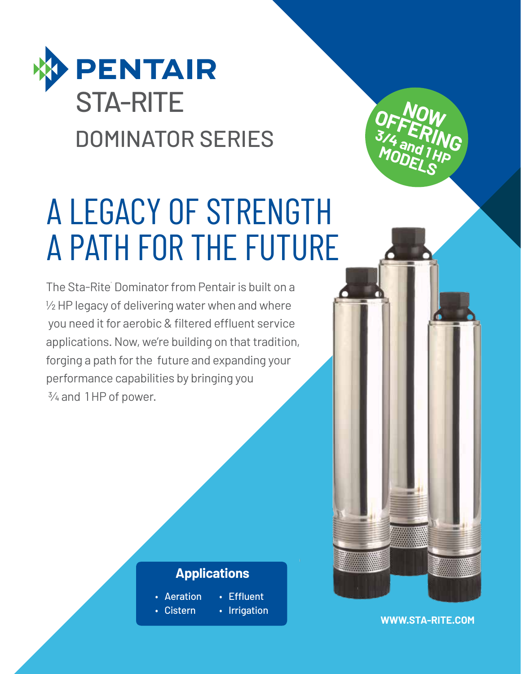

# A LEGACY OF STRENGTH A PATH FOR THE FUTURE

The Sta-Rite Dominator from Pentair is built on a ½ HP legacy of delivering water when and where you need it for aerobic & filtered effluent service applications. Now, we're building on that tradition, forging a path for the future and expanding your performance capabilities by bringing you ¾ and 1 HP of power.

### **Applications**

- Aeration • Effluent
- Cistern • Irrigation

**OFFERING** 3/4<sup>\*</sup> FRIN<br>MODE, <sup>1</sup>HP **MODELS**

**WWW.STA-RITE.COM**